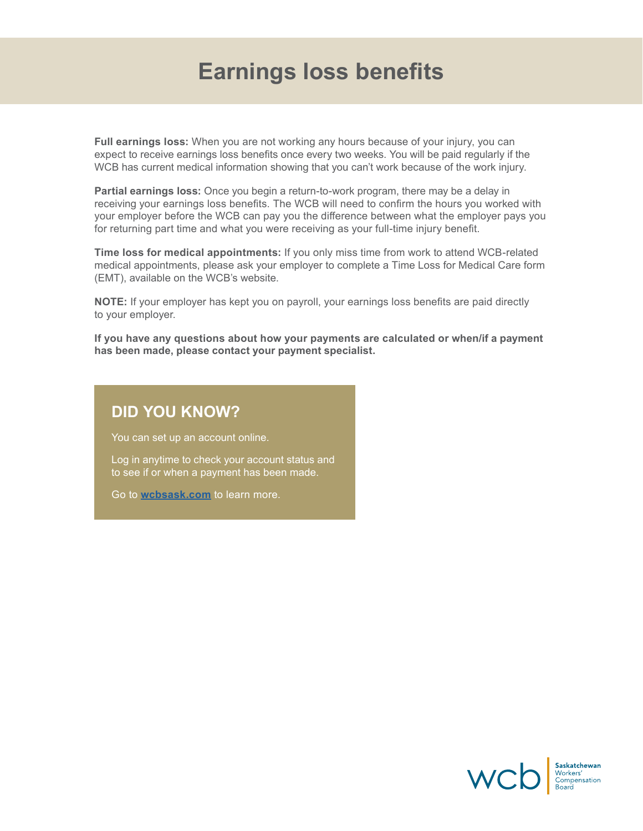### **Earnings loss benefits**

**Full earnings loss:** When you are not working any hours because of your injury, you can expect to receive earnings loss benefits once every two weeks. You will be paid regularly if the WCB has current medical information showing that you can't work because of the work injury.

**Partial earnings loss:** Once you begin a return-to-work program, there may be a delay in receiving your earnings loss benefits. The WCB will need to confirm the hours you worked with your employer before the WCB can pay you the difference between what the employer pays you for returning part time and what you were receiving as your full-time injury benefit.

**Time loss for medical appointments:** If you only miss time from work to attend WCB-related medical appointments, please ask your employer to complete a Time Loss for Medical Care form (EMT), available on the WCB's website.

**NOTE:** If your employer has kept you on payroll, your earnings loss benefits are paid directly to your employer.

**If you have any questions about how your payments are calculated or when/if a payment has been made, please contact your payment specialist.** 

### **DID YOU KNOW?**

You can set up an account online.

Log in anytime to check your account status and to see if or when a payment has been made.

Go to **[wcbsask.com](http://www.wcbsask.com)** to learn more.

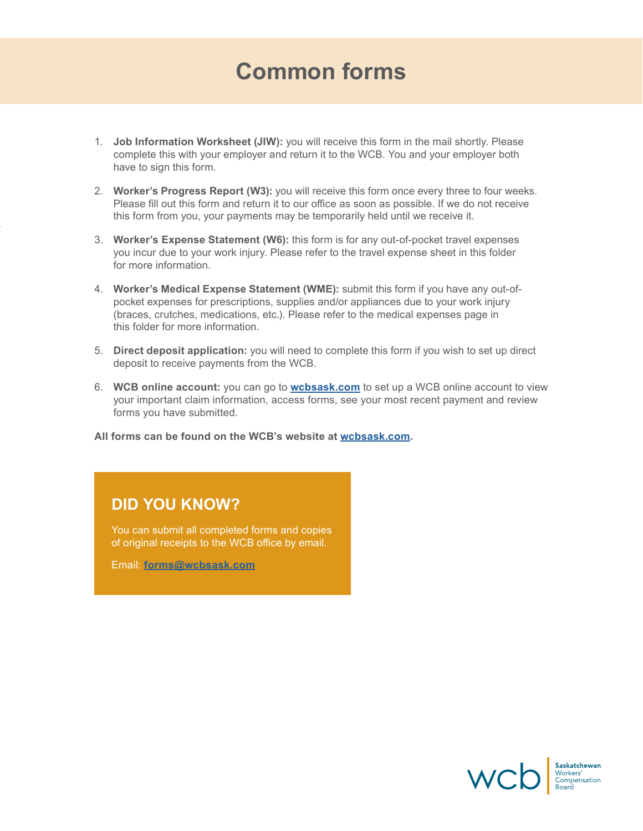## **Common forms**

- 1. **Job Information Worksheet (JIW):** you will receive this form in the mail shortly. Please complete this with your employer and return it to the WCB. You and your employer both have to sign this form.
- 2. **Worker's Progress Report (W3):** you will receive this form once every three to four weeks. Please fill out this form and return it to our office as soon as possible. If we do not receive this form from you, your payments may be temporarily held until we receive it.
- 3. **Worker's Expense Statement (W6):** this form is for any out-of-pocket travel expenses you incur due to your work injury. Please refer to the travel expense sheet in this folder for more information.
- 4. **Worker's Medical Expense Statement (WME):** submit this form if you have any out-ofpocket expenses for prescriptions, supplies and/or appliances due to your work injury (braces, crutches, medications, etc.). Please refer to the medical expenses page in this folder for more information.
- 5. **Direct deposit application:** you will need to complete this form if you wish to set up direct deposit to receive payments from the WCB.
- 6. **WCB online account:** you can go to **[wcbsask.com](http://www.wcbsask.com)** to set up a WCB online account to view your important claim information, access forms, see your most recent payment and review forms you have submitted.

**All forms can be found on the WCB's website at [wcbsask.com.](http://www.wcbsask.com)**

### **DID YOU KNOW?**

You can submit all completed forms and copies of original receipts to the WCB office by email.

Email: **[forms@wcbsask.com](mailto:forms%40wcbsask.com?subject=)**

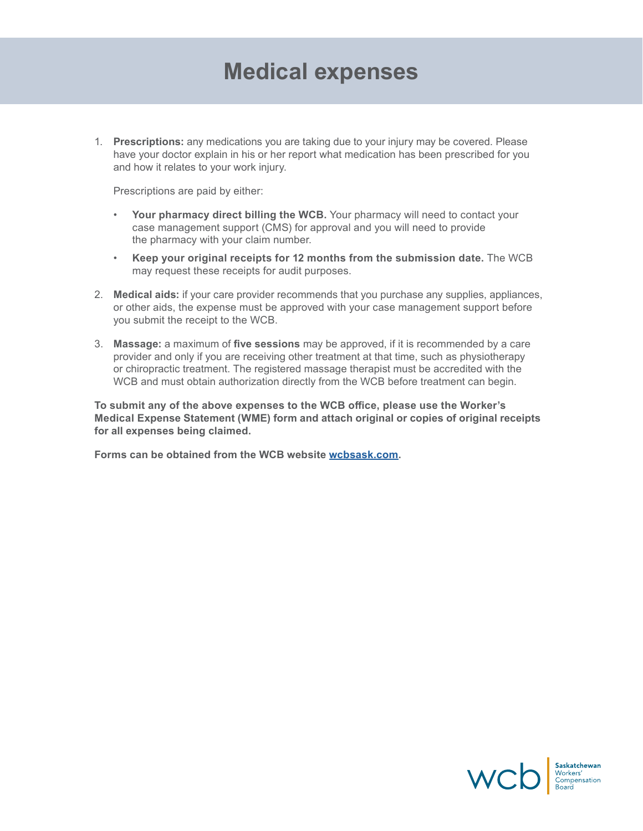### **Medical expenses**

1. **Prescriptions:** any medications you are taking due to your injury may be covered. Please have your doctor explain in his or her report what medication has been prescribed for you and how it relates to your work injury.

Prescriptions are paid by either:

- Your pharmacy direct billing the WCB. Your pharmacy will need to contact your case management support (CMS) for approval and you will need to provide the pharmacy with your claim number.
- **Keep your original receipts for 12 months from the submission date.** The WCB may request these receipts for audit purposes.
- 2. **Medical aids:** if your care provider recommends that you purchase any supplies, appliances, or other aids, the expense must be approved with your case management support before you submit the receipt to the WCB.
- 3. **Massage:** a maximum of **five sessions** may be approved, if it is recommended by a care provider and only if you are receiving other treatment at that time, such as physiotherapy or chiropractic treatment. The registered massage therapist must be accredited with the WCB and must obtain authorization directly from the WCB before treatment can begin.

**To submit any of the above expenses to the WCB office, please use the Worker's Medical Expense Statement (WME) form and attach original or copies of original receipts for all expenses being claimed.** 

**Forms can be obtained from the WCB website [wcbsask.com](http://www.wcbsask.com).**

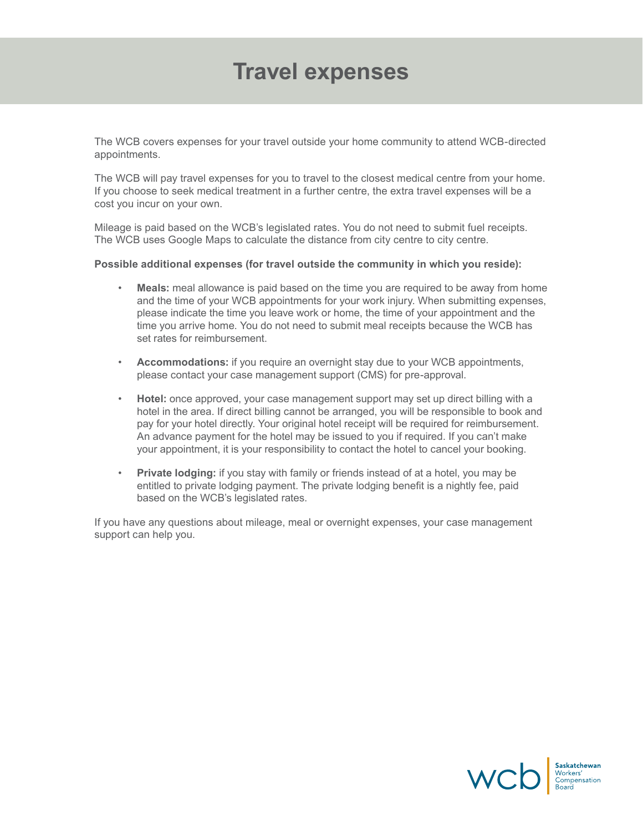### **Travel expenses**

The WCB covers expenses for your travel outside your home community to attend WCB-directed appointments.

The WCB will pay travel expenses for you to travel to the closest medical centre from your home. If you choose to seek medical treatment in a further centre, the extra travel expenses will be a cost you incur on your own.

Mileage is paid based on the WCB's legislated rates. You do not need to submit fuel receipts. The WCB uses Google Maps to calculate the distance from city centre to city centre.

#### **Possible additional expenses (for travel outside the community in which you reside):**

- **Meals:** meal allowance is paid based on the time you are required to be away from home and the time of your WCB appointments for your work injury. When submitting expenses, please indicate the time you leave work or home, the time of your appointment and the time you arrive home. You do not need to submit meal receipts because the WCB has set rates for reimbursement.
- **Accommodations:** if you require an overnight stay due to your WCB appointments, please contact your case management support (CMS) for pre-approval.
- **Hotel:** once approved, your case management support may set up direct billing with a hotel in the area. If direct billing cannot be arranged, you will be responsible to book and pay for your hotel directly. Your original hotel receipt will be required for reimbursement. An advance payment for the hotel may be issued to you if required. If you can't make your appointment, it is your responsibility to contact the hotel to cancel your booking.
- **Private lodging:** if you stay with family or friends instead of at a hotel, you may be entitled to private lodging payment. The private lodging benefit is a nightly fee, paid based on the WCB's legislated rates.

If you have any questions about mileage, meal or overnight expenses, your case management support can help you.

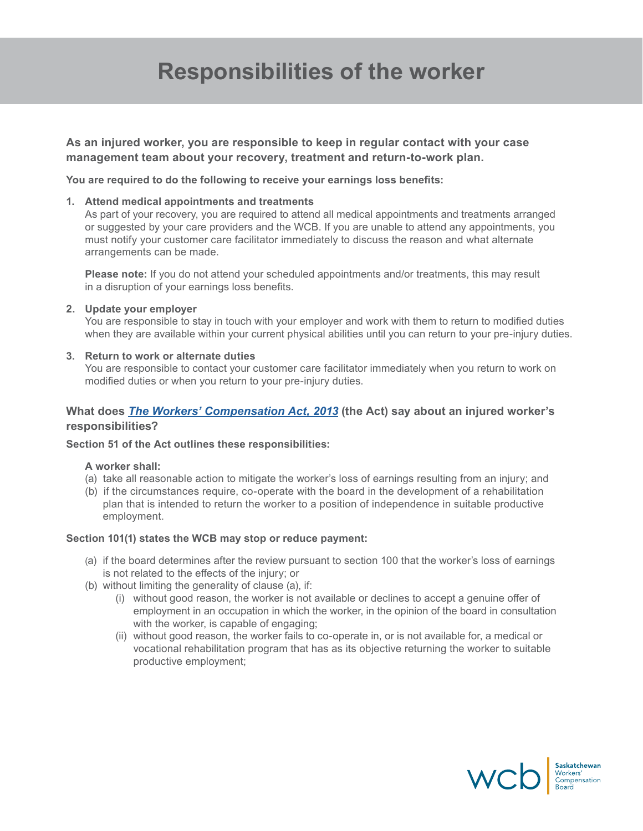# **Responsibilities of the worker**

**As an injured worker, you are responsible to keep in regular contact with your case management team about your recovery, treatment and return-to-work plan.** 

**You are required to do the following to receive your earnings loss benefits:**

#### **1. Attend medical appointments and treatments**

As part of your recovery, you are required to attend all medical appointments and treatments arranged or suggested by your care providers and the WCB. If you are unable to attend any appointments, you must notify your customer care facilitator immediately to discuss the reason and what alternate arrangements can be made.

**Please note:** If you do not attend your scheduled appointments and/or treatments, this may result in a disruption of your earnings loss benefits.

#### **2. Update your employer**

You are responsible to stay in touch with your employer and work with them to return to modified duties when they are available within your current physical abilities until you can return to your pre-injury duties.

#### **3. Return to work or alternate duties**

You are responsible to contact your customer care facilitator immediately when you return to work on modified duties or when you return to your pre-injury duties.

#### **What does** *[The Workers' Compensation Act, 2013](http://www.qp.gov.sk.ca/documents/English/Statutes/Statutes/W17-11.pdf)* **(the Act) say about an injured worker's responsibilities?**

#### **Section 51 of the Act outlines these responsibilities:**

#### **A worker shall:**

- (a) take all reasonable action to mitigate the worker's loss of earnings resulting from an injury; and
- (b) if the circumstances require, co-operate with the board in the development of a rehabilitation plan that is intended to return the worker to a position of independence in suitable productive employment.

#### **Section 101(1) states the WCB may stop or reduce payment:**

- (a) if the board determines after the review pursuant to section 100 that the worker's loss of earnings is not related to the effects of the injury; or
- (b) without limiting the generality of clause (a), if:
	- (i) without good reason, the worker is not available or declines to accept a genuine offer of employment in an occupation in which the worker, in the opinion of the board in consultation with the worker, is capable of engaging;
	- (ii) without good reason, the worker fails to co-operate in, or is not available for, a medical or vocational rehabilitation program that has as its objective returning the worker to suitable productive employment;